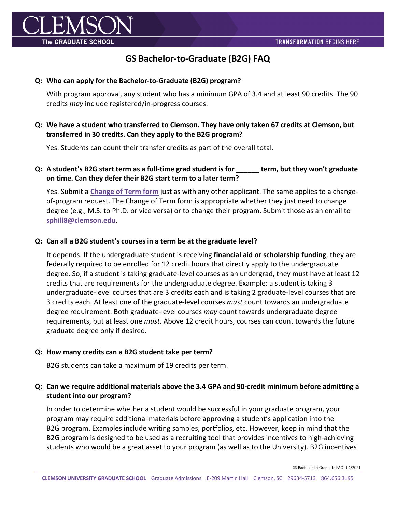

# **GS Bachelor-to-Graduate (B2G) FAQ**

#### **Q: Who can apply for the Bachelor-to-Graduate (B2G) program?**

With program approval, any student who has a minimum GPA of 3.4 and at least 90 credits. The 90 credits *may* include registered/in-progress courses.

# **Q: We have a student who transferred to Clemson. They have only taken 67 credits at Clemson, but transferred in 30 credits. Can they apply to the B2G program?**

Yes. Students can count their transfer credits as part of the overall total.

## **Q: A student's B2G start term as a full-time grad student is for \_\_\_\_\_\_ term, but they won't graduate on time. Can they defer their B2G start term to a later term?**

Yes. Submit a **Change of Term form** just as with any other applicant. The same applies to a changeof-program request. The Change of Term form is appropriate whether they just need to change degree (e.g., M.S. to Ph.D. or vice versa) or to change their program. Submit those as an email to **sphill8@clemson.edu**.

#### **Q: Can all a B2G student's courses in a term be at the graduate level?**

It depends. If the undergraduate student is receiving **financial aid or scholarship funding**, they are federally required to be enrolled for 12 credit hours that directly apply to the undergraduate degree. So, if a student is taking graduate-level courses as an undergrad, they must have at least 12 credits that are requirements for the undergraduate degree. Example: a student is taking 3 undergraduate-level courses that are 3 credits each and is taking 2 graduate-level courses that are 3 credits each. At least one of the graduate-level courses *must* count towards an undergraduate degree requirement. Both graduate-level courses *may* count towards undergraduate degree requirements, but at least one *must*. Above 12 credit hours, courses can count towards the future graduate degree only if desired.

#### **Q: How many credits can a B2G student take per term?**

B2G students can take a maximum of 19 credits per term.

# **Q: Can we require additional materials above the 3.4 GPA and 90-credit minimum before admitting a student into our program?**

In order to determine whether a student would be successful in your graduate program, your program may require additional materials before approving a student's application into the B2G program. Examples include writing samples, portfolios, etc. However, keep in mind that the B2G program is designed to be used as a recruiting tool that provides incentives to high-achieving students who would be a great asset to your program (as well as to the University). B2G incentives

GS Bachelor-to-Graduate FAQ 04/2021